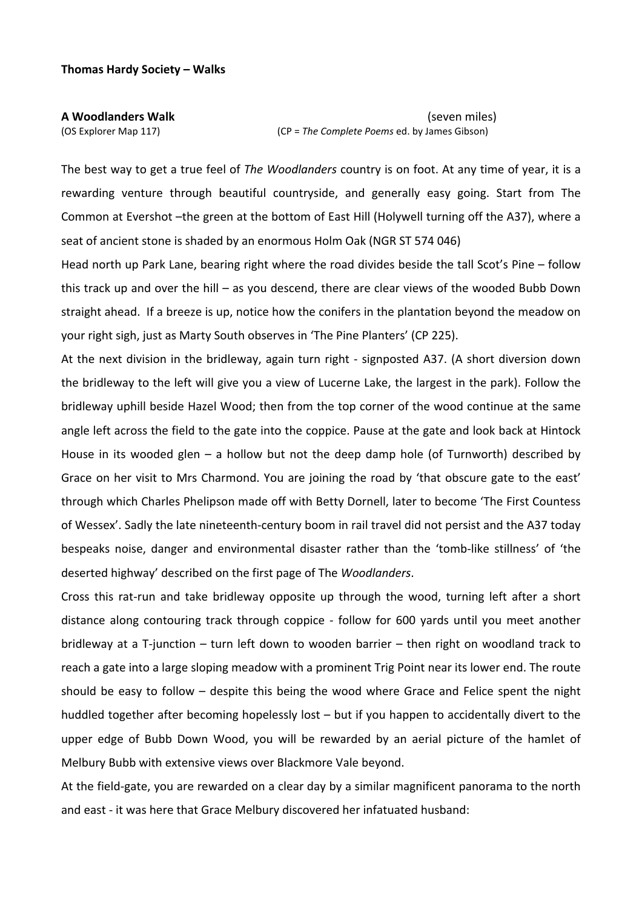**A Woodlanders Walk** (seven miles) (OS Explorer Map 117) (CP = *The Complete Poems* ed. by James Gibson)

The best way to get a true feel of *The Woodlanders* country is on foot. At any time of year, it is a rewarding venture through beautiful countryside, and generally easy going. Start from The Common at Evershot –the green at the bottom of East Hill (Holywell turning off the A37), where a seat of ancient stone is shaded by an enormous Holm Oak (NGR ST 574 046)

Head north up Park Lane, bearing right where the road divides beside the tall Scot's Pine – follow this track up and over the hill – as you descend, there are clear views of the wooded Bubb Down straight ahead. If a breeze is up, notice how the conifers in the plantation beyond the meadow on your right sigh, just as Marty South observes in 'The Pine Planters' (CP 225).

At the next division in the bridleway, again turn right ‐ signposted A37. (A short diversion down the bridleway to the left will give you a view of Lucerne Lake, the largest in the park). Follow the bridleway uphill beside Hazel Wood; then from the top corner of the wood continue at the same angle left across the field to the gate into the coppice. Pause at the gate and look back at Hintock House in its wooded glen  $-$  a hollow but not the deep damp hole (of Turnworth) described by Grace on her visit to Mrs Charmond. You are joining the road by 'that obscure gate to the east' through which Charles Phelipson made off with Betty Dornell, later to become 'The First Countess of Wessex'. Sadly the late nineteenth‐century boom in rail travel did not persist and the A37 today bespeaks noise, danger and environmental disaster rather than the 'tomb‐like stillness' of 'the deserted highway' described on the first page of The *Woodlanders*.

Cross this rat‐run and take bridleway opposite up through the wood, turning left after a short distance along contouring track through coppice ‐ follow for 600 yards until you meet another bridleway at a T-junction – turn left down to wooden barrier – then right on woodland track to reach a gate into a large sloping meadow with a prominent Trig Point near its lower end. The route should be easy to follow – despite this being the wood where Grace and Felice spent the night huddled together after becoming hopelessly lost – but if you happen to accidentally divert to the upper edge of Bubb Down Wood, you will be rewarded by an aerial picture of the hamlet of Melbury Bubb with extensive views over Blackmore Vale beyond.

At the field‐gate, you are rewarded on a clear day by a similar magnificent panorama to the north and east ‐ it was here that Grace Melbury discovered her infatuated husband: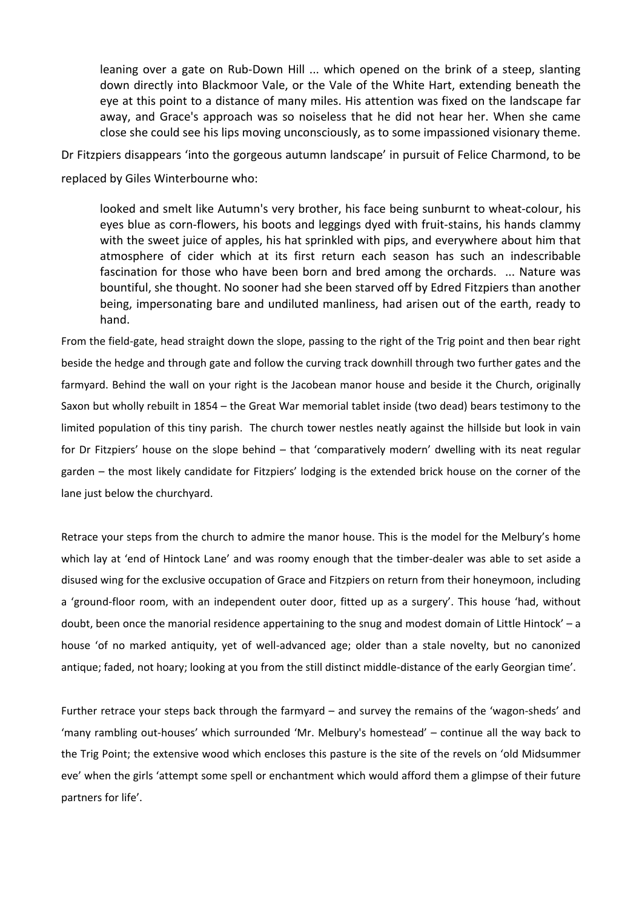leaning over a gate on Rub-Down Hill ... which opened on the brink of a steep, slanting down directly into Blackmoor Vale, or the Vale of the White Hart, extending beneath the eye at this point to a distance of many miles. His attention was fixed on the landscape far away, and Grace's approach was so noiseless that he did not hear her. When she came close she could see his lips moving unconsciously, as to some impassioned visionary theme.

Dr Fitzpiers disappears 'into the gorgeous autumn landscape' in pursuit of Felice Charmond, to be replaced by Giles Winterbourne who:

looked and smelt like Autumn's very brother, his face being sunburnt to wheat‐colour, his eyes blue as corn‐flowers, his boots and leggings dyed with fruit‐stains, his hands clammy with the sweet juice of apples, his hat sprinkled with pips, and everywhere about him that atmosphere of cider which at its first return each season has such an indescribable fascination for those who have been born and bred among the orchards. ... Nature was bountiful, she thought. No sooner had she been starved off by Edred Fitzpiers than another being, impersonating bare and undiluted manliness, had arisen out of the earth, ready to hand.

From the field-gate, head straight down the slope, passing to the right of the Trig point and then bear right beside the hedge and through gate and follow the curving track downhill through two further gates and the farmyard. Behind the wall on your right is the Jacobean manor house and beside it the Church, originally Saxon but wholly rebuilt in 1854 – the Great War memorial tablet inside (two dead) bears testimony to the limited population of this tiny parish. The church tower nestles neatly against the hillside but look in vain for Dr Fitzpiers' house on the slope behind – that 'comparatively modern' dwelling with its neat regular garden – the most likely candidate for Fitzpiers' lodging is the extended brick house on the corner of the lane just below the churchyard.

Retrace your steps from the church to admire the manor house. This is the model for the Melbury's home which lay at 'end of Hintock Lane' and was roomy enough that the timber-dealer was able to set aside a disused wing for the exclusive occupation of Grace and Fitzpiers on return from their honeymoon, including a 'ground-floor room, with an independent outer door, fitted up as a surgery'. This house 'had, without doubt, been once the manorial residence appertaining to the snug and modest domain of Little Hintock' – a house 'of no marked antiquity, yet of well-advanced age; older than a stale novelty, but no canonized antique; faded, not hoary; looking at you from the still distinct middle‐distance of the early Georgian time'.

Further retrace your steps back through the farmyard – and survey the remains of the 'wagon‐sheds' and 'many rambling out‐houses' which surrounded 'Mr. Melbury's homestead' – continue all the way back to the Trig Point; the extensive wood which encloses this pasture is the site of the revels on 'old Midsummer eve' when the girls 'attempt some spell or enchantment which would afford them a glimpse of their future partners for life'.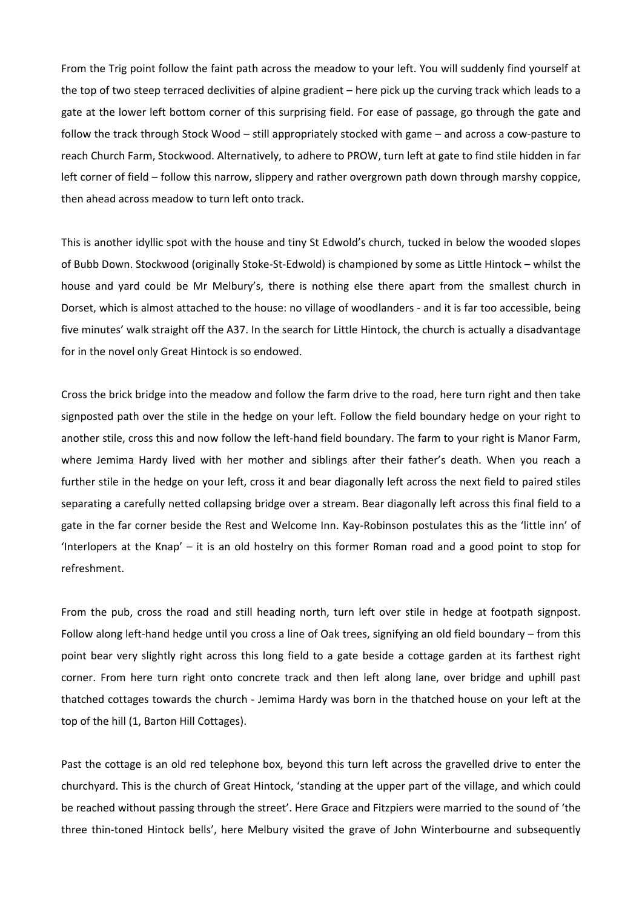From the Trig point follow the faint path across the meadow to your left. You will suddenly find yourself at the top of two steep terraced declivities of alpine gradient – here pick up the curving track which leads to a gate at the lower left bottom corner of this surprising field. For ease of passage, go through the gate and follow the track through Stock Wood – still appropriately stocked with game – and across a cow‐pasture to reach Church Farm, Stockwood. Alternatively, to adhere to PROW, turn left at gate to find stile hidden in far left corner of field – follow this narrow, slippery and rather overgrown path down through marshy coppice, then ahead across meadow to turn left onto track.

This is another idyllic spot with the house and tiny St Edwold's church, tucked in below the wooded slopes of Bubb Down. Stockwood (originally Stoke‐St‐Edwold) is championed by some as Little Hintock – whilst the house and yard could be Mr Melbury's, there is nothing else there apart from the smallest church in Dorset, which is almost attached to the house: no village of woodlanders ‐ and it is far too accessible, being five minutes' walk straight off the A37. In the search for Little Hintock, the church is actually a disadvantage for in the novel only Great Hintock is so endowed.

Cross the brick bridge into the meadow and follow the farm drive to the road, here turn right and then take signposted path over the stile in the hedge on your left. Follow the field boundary hedge on your right to another stile, cross this and now follow the left‐hand field boundary. The farm to your right is Manor Farm, where Jemima Hardy lived with her mother and siblings after their father's death. When you reach a further stile in the hedge on your left, cross it and bear diagonally left across the next field to paired stiles separating a carefully netted collapsing bridge over a stream. Bear diagonally left across this final field to a gate in the far corner beside the Rest and Welcome Inn. Kay-Robinson postulates this as the 'little inn' of 'Interlopers at the Knap' – it is an old hostelry on this former Roman road and a good point to stop for refreshment.

From the pub, cross the road and still heading north, turn left over stile in hedge at footpath signpost. Follow along left-hand hedge until you cross a line of Oak trees, signifying an old field boundary – from this point bear very slightly right across this long field to a gate beside a cottage garden at its farthest right corner. From here turn right onto concrete track and then left along lane, over bridge and uphill past thatched cottages towards the church ‐ Jemima Hardy was born in the thatched house on your left at the top of the hill (1, Barton Hill Cottages).

Past the cottage is an old red telephone box, beyond this turn left across the gravelled drive to enter the churchyard. This is the church of Great Hintock, 'standing at the upper part of the village, and which could be reached without passing through the street'. Here Grace and Fitzpiers were married to the sound of 'the three thin‐toned Hintock bells', here Melbury visited the grave of John Winterbourne and subsequently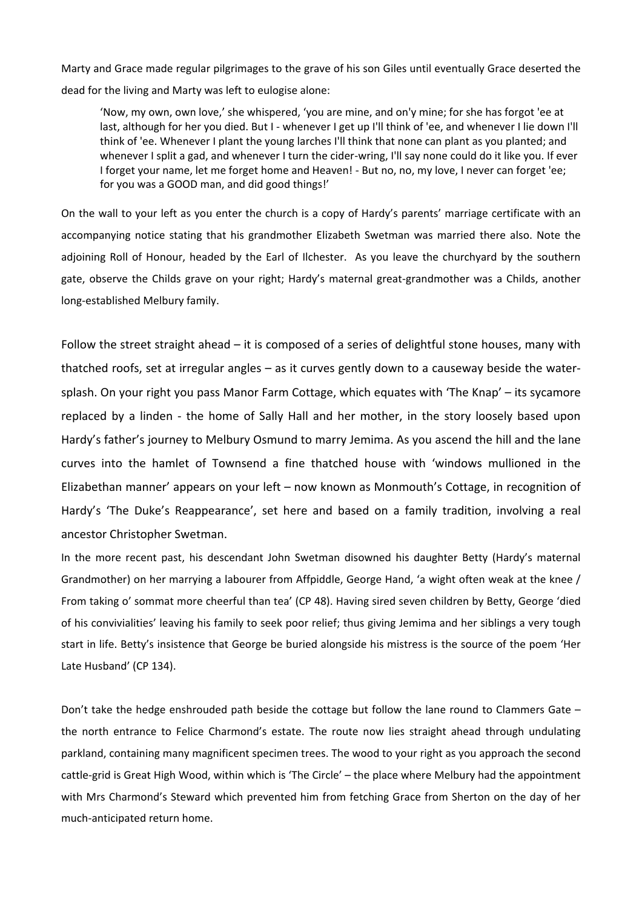Marty and Grace made regular pilgrimages to the grave of his son Giles until eventually Grace deserted the dead for the living and Marty was left to eulogise alone:

'Now, my own, own love,' she whispered, 'you are mine, and on'y mine; for she has forgot 'ee at last, although for her you died. But I - whenever I get up I'll think of 'ee, and whenever I lie down I'll think of 'ee. Whenever I plant the young larches I'll think that none can plant as you planted; and whenever I split a gad, and whenever I turn the cider-wring, I'll say none could do it like you. If ever I forget your name, let me forget home and Heaven! ‐ But no, no, my love, I never can forget 'ee; for you was a GOOD man, and did good things!'

On the wall to your left as you enter the church is a copy of Hardy's parents' marriage certificate with an accompanying notice stating that his grandmother Elizabeth Swetman was married there also. Note the adjoining Roll of Honour, headed by the Earl of Ilchester. As you leave the churchyard by the southern gate, observe the Childs grave on your right; Hardy's maternal great‐grandmother was a Childs, another long‐established Melbury family.

Follow the street straight ahead – it is composed of a series of delightful stone houses, many with thatched roofs, set at irregular angles – as it curves gently down to a causeway beside the water‐ splash. On your right you pass Manor Farm Cottage, which equates with 'The Knap' – its sycamore replaced by a linden ‐ the home of Sally Hall and her mother, in the story loosely based upon Hardy's father's journey to Melbury Osmund to marry Jemima. As you ascend the hill and the lane curves into the hamlet of Townsend a fine thatched house with 'windows mullioned in the Elizabethan manner' appears on your left – now known as Monmouth's Cottage, in recognition of Hardy's 'The Duke's Reappearance', set here and based on a family tradition, involving a real ancestor Christopher Swetman.

In the more recent past, his descendant John Swetman disowned his daughter Betty (Hardy's maternal Grandmother) on her marrying a labourer from Affpiddle, George Hand, 'a wight often weak at the knee / From taking o' sommat more cheerful than tea' (CP 48). Having sired seven children by Betty, George 'died of his convivialities' leaving his family to seek poor relief; thus giving Jemima and her siblings a very tough start in life. Betty's insistence that George be buried alongside his mistress is the source of the poem 'Her Late Husband' (CP 134).

Don't take the hedge enshrouded path beside the cottage but follow the lane round to Clammers Gate – the north entrance to Felice Charmond's estate. The route now lies straight ahead through undulating parkland, containing many magnificent specimen trees. The wood to your right as you approach the second cattle‐grid is Great High Wood, within which is 'The Circle' – the place where Melbury had the appointment with Mrs Charmond's Steward which prevented him from fetching Grace from Sherton on the day of her much‐anticipated return home.